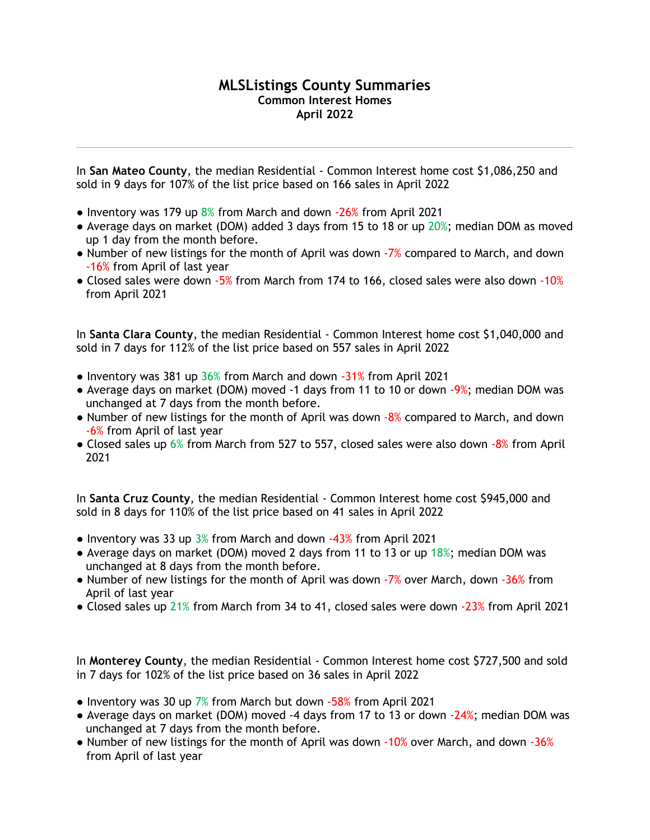## **MLSListings County Summaries Common Interest Homes April 2022**

In **San Mateo County**, the median Residential - Common Interest home cost \$1,086,250 and sold in 9 days for 107% of the list price based on 166 sales in April 2022

- Inventory was 179 up  $8\%$  from March and down  $-26\%$  from April 2021
- Average days on market (DOM) added 3 days from 15 to 18 or up 20%; median DOM as moved up 1 day from the month before.
- Number of new listings for the month of April was down -7% compared to March, and down -16% from April of last year
- Closed sales were down -5% from March from 174 to 166, closed sales were also down -10% from April 2021

In **Santa Clara County**, the median Residential - Common Interest home cost \$1,040,000 and sold in 7 days for 112% of the list price based on 557 sales in April 2022

- Inventory was 381 up 36% from March and down -31% from April 2021
- Average days on market (DOM) moved -1 days from 11 to 10 or down -9%; median DOM was unchanged at 7 days from the month before.
- Number of new listings for the month of April was down -8% compared to March, and down -6% from April of last year
- Closed sales up 6% from March from 527 to 557, closed sales were also down -8% from April 2021

In **Santa Cruz County**, the median Residential - Common Interest home cost \$945,000 and sold in 8 days for 110% of the list price based on 41 sales in April 2022

- $\bullet$  Inventory was 33 up 3% from March and down -43% from April 2021
- Average days on market (DOM) moved 2 days from 11 to 13 or up 18%; median DOM was unchanged at 8 days from the month before.
- Number of new listings for the month of April was down -7% over March, down -36% from April of last year
- Closed sales up 21% from March from 34 to 41, closed sales were down -23% from April 2021

In **Monterey County**, the median Residential - Common Interest home cost \$727,500 and sold in 7 days for 102% of the list price based on 36 sales in April 2022

- $\bullet$  Inventory was 30 up 7% from March but down -58% from April 2021
- Average days on market (DOM) moved -4 days from 17 to 13 or down -24%; median DOM was unchanged at 7 days from the month before.
- Number of new listings for the month of April was down -10% over March, and down -36% from April of last year